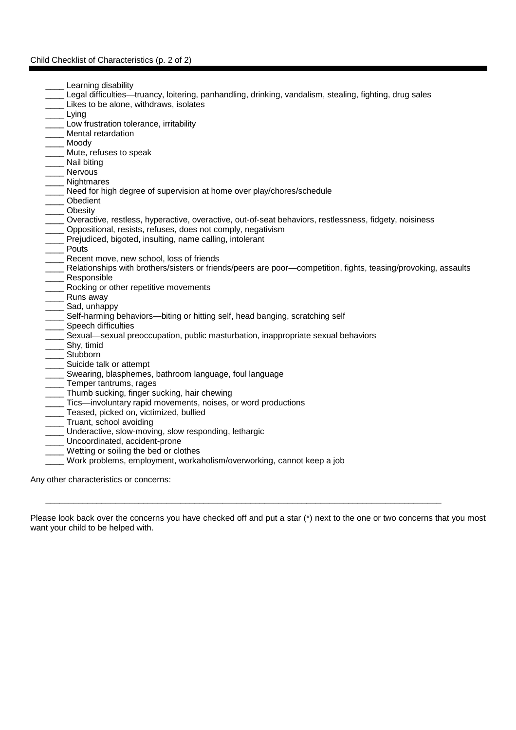## Child Checklist of Characteristics (p. 2 of 2)

- Learning disability
- \_\_\_\_ Legal difficulties—truancy, loitering, panhandling, drinking, vandalism, stealing, fighting, drug sales
- Likes to be alone, withdraws, isolates
- \_\_\_\_ Lying
- Low frustration tolerance, irritability
- Mental retardation
- Moody
- Mute, refuses to speak
- \_\_\_\_ Nail biting
- **Nervous**
- \_\_\_\_ Nightmares
- Need for high degree of supervision at home over play/chores/schedule
- \_\_\_\_ Obedient
- **Obesity**
- \_\_\_\_ Overactive, restless, hyperactive, overactive, out-of-seat behaviors, restlessness, fidgety, noisiness
- \_\_\_\_ Oppositional, resists, refuses, does not comply, negativism
- Prejudiced, bigoted, insulting, name calling, intolerant
- **Pouts**
- Recent move, new school, loss of friends
- \_\_\_\_ Relationships with brothers/sisters or friends/peers are poor—competition, fights, teasing/provoking, assaults
- \_\_\_\_ Responsible
- Rocking or other repetitive movements
- \_\_\_\_ Runs away
- Sad, unhappy
- Self-harming behaviors—biting or hitting self, head banging, scratching self
- Speech difficulties
- Sexual—sexual preoccupation, public masturbation, inappropriate sexual behaviors
- \_\_\_\_ Shy, timid
- \_\_\_\_ Stubborn
- Suicide talk or attempt
- Swearing, blasphemes, bathroom language, foul language
- \_\_\_\_ Temper tantrums, rages
- Thumb sucking, finger sucking, hair chewing
- \_\_\_\_ Tics—involuntary rapid movements, noises, or word productions
- Teased, picked on, victimized, bullied
- \_\_\_\_ Truant, school avoiding
- \_\_\_\_ Underactive, slow-moving, slow responding, lethargic
- \_\_\_\_ Uncoordinated, accident-prone
- Wetting or soiling the bed or clothes
- Work problems, employment, workaholism/overworking, cannot keep a job

Any other characteristics or concerns:

Please look back over the concerns you have checked off and put a star (\*) next to the one or two concerns that you most want your child to be helped with.

\_\_\_\_\_\_\_\_\_\_\_\_\_\_\_\_\_\_\_\_\_\_\_\_\_\_\_\_\_\_\_\_\_\_\_\_\_\_\_\_\_\_\_\_\_\_\_\_\_\_\_\_\_\_\_\_\_\_\_\_\_\_\_\_\_\_\_\_\_\_\_\_\_\_\_\_\_\_\_\_\_\_\_\_\_